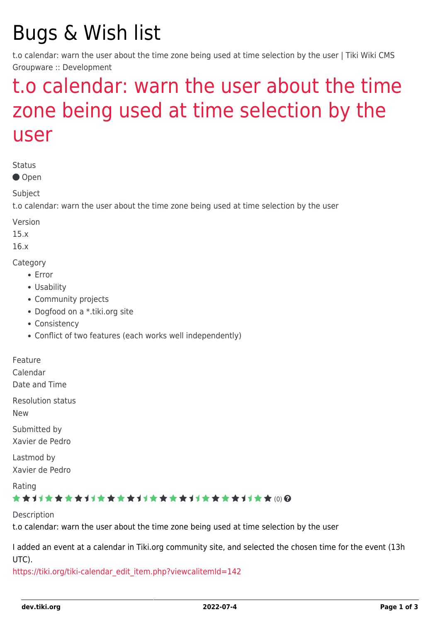# Bugs & Wish list

t.o calendar: warn the user about the time zone being used at time selection by the user | Tiki Wiki CMS Groupware :: Development

## [t.o calendar: warn the user about the time](https://dev.tiki.org/item6039-t-o-calendar-warn-the-user-about-the-time-zone-being-used-at-time-selection-by-the-user) [zone being used at time selection by the](https://dev.tiki.org/item6039-t-o-calendar-warn-the-user-about-the-time-zone-being-used-at-time-selection-by-the-user) [user](https://dev.tiki.org/item6039-t-o-calendar-warn-the-user-about-the-time-zone-being-used-at-time-selection-by-the-user)

Status

● Open

Subject

t.o calendar: warn the user about the time zone being used at time selection by the user

Version

15.x

16.x

**Category** 

- Error
- Usability
- Community projects
- Dogfood on a \*.tiki.org site
- Consistency
- Conflict of two features (each works well independently)

Feature

Calendar

Date and Time

Resolution status

New

Submitted by Xavier de Pedro

Lastmod by Xavier de Pedro

Rating

#### \*\*\*\*\*\*\*\*\*\*\*\*\*\*\*\*\*\*\*\*\*\*\*\*\*\*\*\*\*\*\*

Description

t.o calendar: warn the user about the time zone being used at time selection by the user

I added an event at a calendar in Tiki.org community site, and selected the chosen time for the event (13h UTC).

[https://tiki.org/tiki-calendar\\_edit\\_item.php?viewcalitemId=142](https://tiki.org/tiki-calendar_edit_item.php?viewcalitemId=142)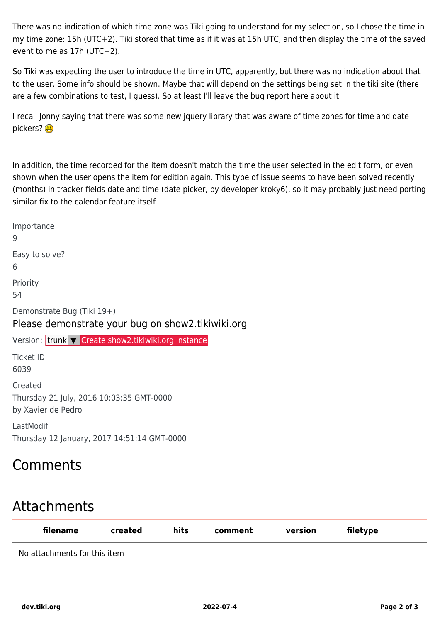There was no indication of which time zone was Tiki going to understand for my selection, so I chose the time in my time zone: 15h (UTC+2). Tiki stored that time as if it was at 15h UTC, and then display the time of the saved event to me as 17h (UTC+2).

So Tiki was expecting the user to introduce the time in UTC, apparently, but there was no indication about that to the user. Some info should be shown. Maybe that will depend on the settings being set in the tiki site (there are a few combinations to test, I guess). So at least I'll leave the bug report here about it.

I recall Jonny saying that there was some new jquery library that was aware of time zones for time and date pickers? (B

In addition, the time recorded for the item doesn't match the time the user selected in the edit form, or even shown when the user opens the item for edition again. This type of issue seems to have been solved recently (months) in tracker fields date and time (date picker, by developer kroky6), so it may probably just need porting similar fix to the calendar feature itself

Importance 9 Easy to solve? 6 Priority 54 Demonstrate Bug (Tiki 19+) Please demonstrate your bug on show2.tikiwiki.org Version: trunk ▼ [Create show2.tikiwiki.org instance](#page--1-0) Ticket ID 6039 Created Thursday 21 July, 2016 10:03:35 GMT-0000 by Xavier de Pedro LastModif Thursday 12 January, 2017 14:51:14 GMT-0000

## Comments

## Attachments

| filename                     | created | hits | comment | version | filetype |  |
|------------------------------|---------|------|---------|---------|----------|--|
| No attachments for this item |         |      |         |         |          |  |

**dev.tiki.org 2022-07-4 Page 2 of 3**